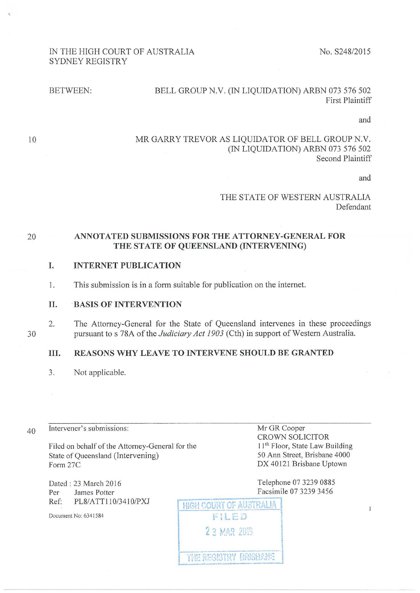# IN THE HIGH COURT OF AUSTRALIA SYDNEY REGISTRY

No. S248/2015

#### BETWEEN: BELL GROUP N.V. (IN LIQUIDATION) ARBN 073 576 502 First Plaintiff

and

10

'

#### MR GARRY TREVOR AS LIQUIDATOR OF BELL GROUP N.V. (IN LIQUIDATION) ARBN 073 576 502 Second Plaintiff

and

#### THE STATE OF WESTERN AUSTRALIA Defendant

#### 20 ANNOTATED SUBMISSIONS FOR THE ATTORNEY-GENERAL FOR THE STATE OF QUEENSLAND (INTERVENING)

#### I. INTERNET PUBLICATION

1. This submission is in a form suitable for publication on the intemet.

#### 11. ·BASIS OF INTERVENTION

2. The Attorney-General for the State of Queensland intervenes in these proceedings pursuant to s 78A of the *Judiciary Act 1903* (Cth) in support of Western Australia.

#### Ill. REASONS WHY LEAVE TO INTERVENE SHOULD BE GRANTED

3. Not applicable.

40 Intervener's submissions: Mr GR Cooper

Filed on behalf of the Attorney-General for the State of Queensland (Intervening)<br>Form 27C

Dated: 23 March 2016 Per James Potter Ref: PL8/ATT110/3410/PXJ

Document No: 6341584

CROWN SOLICITOR 11<sup>th</sup> Floor, State Law Building 50 Ann Street, Brisbane 4000 DX 40121 Brisbane Uptown

Telephone 07 3239 0885 Facsimile 07 3239 3456

HIGH COURT OF AUSTRALIA FILED 23 MAR 2016 L \_\_\_\_\_\_\_\_\_\_\_ \_ **| THE REGISTRY BRISBANE** 

 $\overline{1}$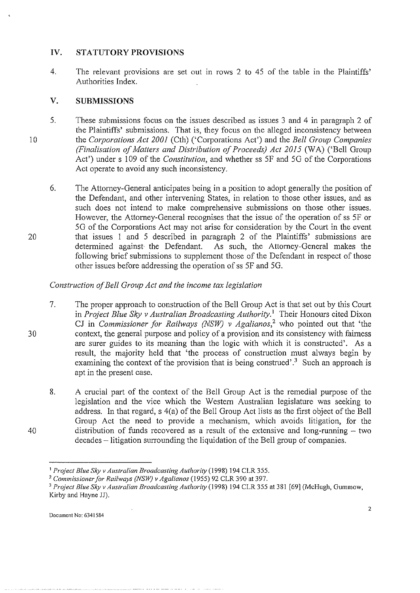# **IV. STATUTORY PROVISIONS**

4. The relevant provisions are set out in rows 2 to *4S* of the table in the Plaintiffs' Authorities Index.

# **V. SUBMISSIONS**

- 10 S. These submissions focus on the issues described as issues 3 and 4 in paragraph 2 of the Plaintiffs' submissions. That is, they focus on the alleged inconsistency between the *Corporations Act 2001* (Cth) ('Corporations Act') and the *Bell Group Companies (Finalisation of Matters and Distribution of Proceeds) Act 2015* (WA) ('Bell Group Act') under s I 09 of the *Constitution,* and whether ss *SF* and *SG* of the Corporations Act operate to avoid any such inconsistency.
	- 6. The Attorney-General anticipates being in a position to adopt generally the position of the Defendant, and other intervening States, in relation to those other issues, and as such does not intend to make comprehensive submissions on those other issues. However, the Attorney-General recognises that the issue of the operation of ss *SF* or *SG* of the Corporations Act may not arise for consideration by the Court in the event that issues I and S described in paragraph 2 of the Plaintiffs' submissions are determined against the Defendant. As such, the Attorney-General makes the following brief submissions to supplement those of the Defendant in respect of those other issues before addressing the operation of ss *SF* and *SG.*

# *Construction of Bell Group Act and the income tax legislation*

- 7. The proper approach to construction of the Bell Group Act is that set out by this Court in *Project Blue Sky v Australian Broadcasting Authority*.<sup>1</sup> Their Honours cited Dixon CJ in *Commissioner for Railways (NSW) v Agalianos,2* who pointed out that 'the context, the general purpose and policy of a provision and its consistency with fairness are surer guides to its meaning than the logic with which it is constructed'. As a result, the majority held that 'the process of construction must always begin by examining the context of the provision that is being construed'.<sup>3</sup> Such an approach is apt in the present case.
- 8. A crucial part of the context of the Bell Group Act is the remedial purpose of the legislation and the vice which the Western Australian legislature was seeking to address. In that regard, s 4(a) of the Bell Group Act lists as the first object of the Bell Group Act the need to provide a mechanism, which avoids litigation, for the distribution of funds recovered as a result of the extensive and long-running  $-$  two decades – litigation surrounding the liquidation of the Bell group of companies.

40

20

<sup>&</sup>lt;sup>1</sup> Project Blue Sky v Australian Broadcasting Authority (1998) 194 CLR 355.<br><sup>2</sup> Commissioner for Railways (NSW) v Agalianos (1955) 92 CLR 390 at 397.<br><sup>3</sup> Project Blue Sky v Australian Broadcasting Authority (1998) 194 CLR Kirby and Hayne JJ).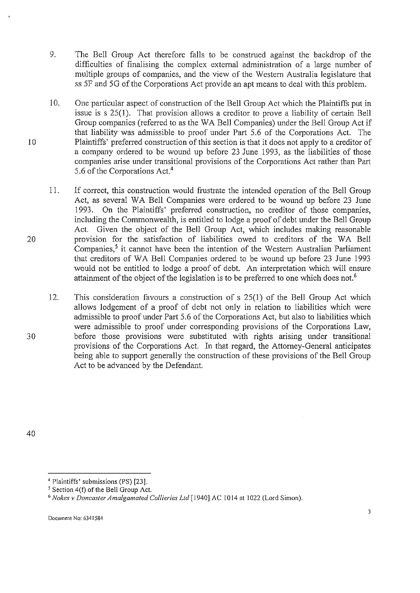- 9. The Bell Group Act therefore falls to be construed against the backdrop of the difficulties of finalising the complex external administration of a large number of multiple groups of companies, and the view of the Western Australia legislature that ss 5F and 5G of the Corporations Act provide an apt means to deal with this problem.
- 10. One particular aspect of construction of the Bell Group Act which the Plaintiffs put in issue is s 25(1). That provision allows a creditor to prove a liability of certain Bell Group companies (referred to as the WA Bell Companies) under the Bell Group Act if that liability was admissible to proof under Part 5.6 of the Corporations Act. The Plaintiffs' preferred construction of this section is that it does not apply to a creditor of a company ordered to be wound up before 23 June 1993, as the liabilities of those companies arise under transitional provisions of the Corporations Act rather than Part 5.6 of the Corporations Act.4
- 11. If correct, this construction would frustrate the intended operation of the Bell Group Act, as several WA Bell Companies were ordered to be wound up before 23 June 1993. On the Plaintiffs' preferred construction, no creditor of those companies, including the Commonwealth, is entitled to lodge a proof of debt under the Bell Group Act. Given the object of the Bell Group Act, which includes making reasonable provision for the satisfaction of liabilities owed to creditors of the WA Bell Companies,<sup>5</sup> it cannot have been the intention of the Western Australian Parliament that creditors of WA Bell Companies ordered to be wound up before 23 June 1993 would not be entitled to lodge a proof of debt. An interpretation which will ensure attainment of the object of the legislation is to be preferred to one which does not.<sup>6</sup>

12. This consideration favours a construction of s 25(1) of the Bell Group Act which allows lodgement of a proof of debt not only in relation to liabilities which were admissible to proof under Part 5.6 of the Corporations Act, but also to liabilities which were admissible to proof under corresponding provisions of the Corporations Law, before those provisions were substituted with rights arising under transitional provisions of the Corporations Act. In that regard, the Attorney-General anticipates being able to support generally the construction of these provisions of the Bell Group Act to be advanced by the Defendant.

40

10

20

<sup>&</sup>lt;sup>4</sup> Plaintiffs' submissions (PS) [23].

<sup>&</sup>lt;sup>5</sup> Section 4(f) of the Bell Group Act.<br><sup>6</sup> *Nokes v Doncaster Amalgamated Collieries Ltd* [1940] AC 1014 at 1022 (Lord Simon).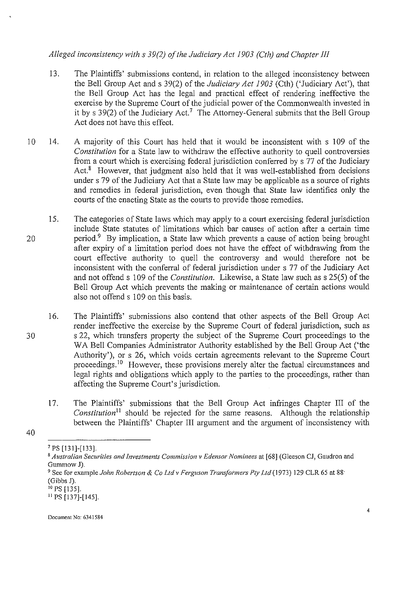# *Alleged inconsistency with s 39(2) of the Judiciary Act 1903 (Cth) and Chapter JlJ*

- 13. The Plaintiffs' submissions contend, in relation to the alleged inconsistency between the Bell Group Act and s 39(2) of the *Judiciary Act 1903* (Cth) ('Judiciary Act'), that the Bell Group Act has the legal and practical effect of rendering ineffective the exercise by the Supreme Court of the judicial power of the Commonwealth invested in it by s  $39(2)$  of the Judiciary Act.<sup>7</sup> The Attorney-General submits that the Bell Group Act does not have this effect.
- 10 14. A majority of this Court has held that it would be inconsistent with s I 09 of the *Constitution* for a State law to withdraw the effective authority to quell controversies from a court which is exercising federal jurisdiction conferred by s 77 of the Judiciary Act. $8$  However, that judgment also held that it was well-established from decisions under s 79 of the Judiciary Act that a State law may be applicable as a source of rights and remedies in federal jurisdiction, even though that State law identifies only the courts of the enacting State as the courts to provide those remedies.
- 20 15. The categories of State laws which may apply to a court exercising federal jurisdiction include State statutes of limitations which bar causes of action after a certain time period.9 By implication, a State law which prevents a cause of action being brought after expiry of a limitation period does not have the effect of withdrawing from the court effective authority to quell the controversy and would therefore not be inconsistent with the conferral of federal jurisdiction under s 77 of the Judiciary Act and not offends 109 of the *Constitution.* Likewise, a State law such ass 25(5) of the Bell Group Act which prevents the making or maintenance of certain actions would also not offend s 1 09 on this basis.
	- 16. The Plaintiffs' submissions also contend that other aspects of the Bell Group Act render ineffective the exercise by the Supreme Court of federal jurisdiction, such as s 22, which transfers property the subject of the Supreme Court proceedings to the WA Bell Companies Administrator Authority established by the Bell Group Act ('the Authority'), or s 26, which voids certain agreements relevant to the Supreme Court proceedings.<sup>10</sup> However, these provisions merely alter the factual circumstances and legal rights and obligations which apply to the parties to the proceedings, rather than affecting the Supreme Court's jurisdiction.
		- 17. The Plaintiffs' submissions that the Bell Group Act infringes Chapter III of the *Constitution*<sup>11</sup> should be rejected for the same reasons. Although the relationship between the Plaintiffs' Chapter III argument and the argument of inconsistency with

<sup>40</sup> 

<sup>7</sup> PS [131]-[133].

<sup>8</sup>*Australian Securities and Investments Commission v Edensor Nominees* **at [68] (Gleeson CJ, Gaudron and**  Gummow J).

<sup>9</sup> See for example *John Robertson* & *Co Ltdv Ferguson Transfotmers Pty Ltd* (1973) 129 CLR 65 at SS· (Gibbs J).

<sup>&</sup>lt;sup>10</sup> PS [135].<br><sup>11</sup> PS [137]-[145].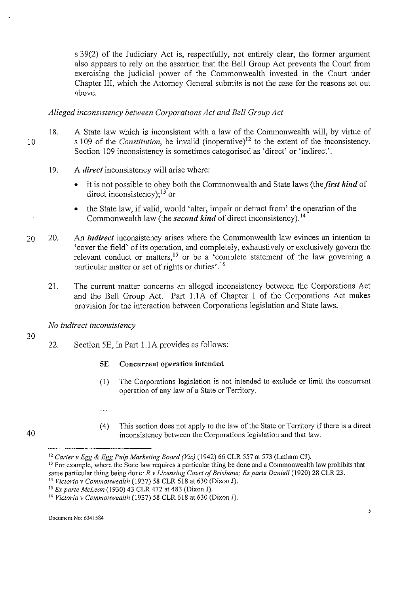s 39(2) of the Judiciary Act is, respectfully, not entirely clear, the former argument also appears to rely on the assertion that the Bell Group Act prevents the Court from exercising the judicial power of the Commonwealth invested in the Court under Chapter III, which the Attorney-General submits is not the case for the reasons set out above.

# *Alleged inconsistency between Corporations Act and Bell Group Act*

- 18. A State law which is inconsistent with a law of the Commonwealth will, by virtue of s 109 of the *Constitution*, be invalid (inoperative)<sup>12</sup> to the extent of the inconsistency. Section 109 inconsistency is sometimes categorised as 'direct' or 'indirect'.
	- 19. A *direct* inconsistency will arise where:
		- it is not possible to obey both the Commonwealth and State laws (the *first kind* of direct inconsistency);  $13$  or
		- the State law, if valid, would 'alter, impair or detract from' the operation of the Commonwealth law (the *second kind* of direct inconsistency).<sup>14</sup>
- 20 20. An *indirect* inconsistency arises where the Commonwealth law evinces an intention to 'cover the field' of its operation, and completely, exhaustively or exclusively govern the relevant conduct or matters,<sup>15</sup> or be a 'complete statement of the law governing a particular matter or set of rights or duties'.<sup>16</sup>
	- 21. The current matter concerns an alleged inconsistency between the Corporations Act and the Bell Group Act. Part 1.1A of Chapter 1 of the Corporations Act makes provision for the interaction between Corporations legislation and State laws.

*No indirect inconsistency* 

22. Section SE, in Part !.lA provides as follows:

#### SE Concurrent operation intended

- (I) The Corporations legislation is not intended to exclude or limit the concurrent operation of any law of a State or Territory.
- $\ddotsc$
- (4) This section does not apply to the law of the State or Territory if there is a direct inconsistency between the Corporations legislation and that law.

30

<sup>&</sup>lt;sup>12</sup> Carter v Egg & Egg Pulp Marketing Board (Vic) (1942) 66 CLR 557 at 573 (Latham CJ).<br><sup>13</sup> For example, where the State law requires a particular thing be done and a Commonwealth law prohibits that

same particular thing being done: *R v Licensing Court of Brisbane; Ex parte Daniel/* (1920) 28 CLR 23. 14 *Victoria v Commonwealth* (1937) 58 CLR 618 at 630 (Dixon J).

<sup>15</sup>*Ex parte McLean* (1930) 43 CLR 472 at 483 (Dixon J).

<sup>16</sup>*Victoria v Commonwealth* (1937) 58 CLR 618 at 630 (Dixon J).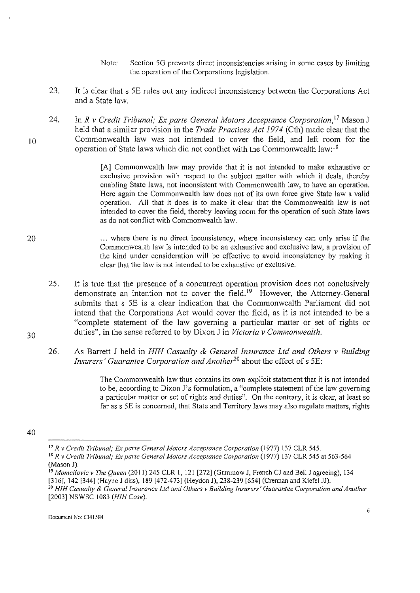- Note: Section *SG* prevents direct inconsistencies arising in some cases by limiting the operation of the Corporations legislation.
- 23. It is clear that s *SE* rules out any indirect inconsistency between the Corporations Act and a State law.
- 24. In *R v Credit Tribunal; Ex parte General Motors Acceptance Corporation*,<sup>17</sup> Mason J held that a similar provision in the *Trade Practices Act 1974* (Cth) made clear that the Commonwealth law was not intended to cover the field, and left room for the operation of State laws which did not conflict with the Commonwealth law:<sup>18</sup>

[A] Commonwealth law may provide that it is not intended to make exhaustive or exclusive provision with respect to the subject matter with which it deals, thereby enabling State laws, not inconsistent with Commonwealth law, to have an operation. Here again the Commonwealth law does not of its own force give State law a valid operation. All that it does is to make it clear that the Commonwealth law is not intended to cover the field, thereby leaving room for the operation of such State laws as do not conflict with Commonwealth law.

- 20 ... where there is no direct inconsistency, where inconsistency can only arise if the Commonwealth law is intended to be an exhaustive and exclusive law, a provision of the kind under consideration will be effective to avoid inconsistency by making it clear that the law is not intended to be exhaustive or exclusive.
	- *2S.*  It is true that the presence of a concurrent operation provision does not conclusively demonstrate an intention not to cover the field.<sup>19</sup> However, the Attorney-General submits that s *SE* is a clear indication that the Commonwealth Parliament did not intend that the Corporations Act would cover the field, as it is not intended to be a "complete statement of the law governing a particular matter or set of rights or duties", in the sense referred to by Dixon J in *Victoria v Commonwealth.*
	- 26. As Barrett J held in *HIH Casualty* & *General Insurance Ltd and Others v Building Insurers' Guarantee Corporation and Another20* about the effect of s SE:

The Commonwealth law thus contains its own explicit statement that it is not intended to be, according to Dixon J's formulation, a "complete statement of the law governing a particular matter or set of rights and duties". On the contrary, it is clear, at least so far as s *SE* is concerned, that State and Territory laws may also regulate matters, rights

30

<sup>40</sup> 

<sup>&</sup>lt;sup>17</sup> R v Credit Tribunal; Ex parte General Motors Acceptance Corporation (1977) 137 CLR 545.<br><sup>18</sup> R v Credit Tribunal; Ex parte General Motors Acceptance Corporation (1977) 137 CLR 545 at 563-564<br>(Mason J).

<sup>&</sup>lt;sup>19</sup> *Momcilovic v The Queen* (2011) 245 CLR 1, 121 [272] (Gummow J, French CJ and Bell J agreeing), 134 [316], 142 [344] (Hayne J diss), 189 [472-473] (Heydon J), 238-239 [654] (Crennan and Kiefel JJ).

<sup>[316], 142 [344] (</sup>Hayne J diss), 189 [472-473] (Heydon J), 238-239 [654] (Crennan and Kiefel JJ). 20 *HIH Casualty* **&** *Genera/Insurance Ltd and Others v Building Insurers' Guarantee Corporation and Another*  [2003] NSWSC I 083 *(HJH Case).*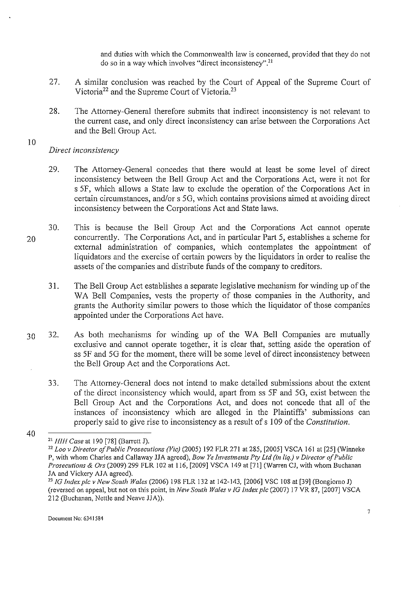and duties with which the Commonwealth law is concerned, provided that they do not do so in a way which involves "direct inconsistency".<sup>21</sup>

- 27. A similar conclusion was reached by the Court of Appeal of the Supreme Court of Victoria<sup>22</sup> and the Supreme Court of Victoria.<sup>23</sup>
- 28. The Attorney-General therefore submits that indirect inconsistency is not relevant to the current case, and only direct inconsistency can arise between the Corporations Act and the Bell Group Act.

*Direct inconsistency* 

- 29. The Attorney-General concedes that there would at least be some level of direct inconsistency between the Bell Group Act and the Corporations Act, were it not for s *SF,* which allows a State law to exclude the operation of the Corporations Act in certain circumstances, and/or s 50, which contains provisions aimed at avoiding direct inconsistency between the Corporations Act and State laws.
- 20 30. This is because the Bell Group Act and the Corporations Act carmot operate concurrently. The Corporations Act, and in particular Part 5, establishes a scheme for external administration of companies, which contemplates the appointment of liquidators and the exercise of certain powers by the liquidators in order to realise the assets of the companies and distribute funds of the company to creditors.
	- 31. The Bell Group Act establishes a separate legislative mechanism for winding up of the WA Bell Companies, vests the property of those companies in the Authority, and grants the Authority similar powers to those which the liquidator of those companies appointed under the Corporations Act have.
- 30 32. As both mechanisms for winding up of the WA Bell Companies are mutually exclusive and carmot operate together, it is clear that, setting aside the operation of ss 5F and 5G for the moment, there will be some level of direct inconsistency between the Bell Group Act and the Corporations Act.
	- 33. The Attorney-General does not intend to make detailed submissions about the extent of the direct inconsistency which would, apart from ss 5F and 5G, exist between the Bell Group Act and the Corporations Act, and does not concede that all of the instances of inconsistency which are alleged in the Plaintiffs' submissions can properly said to give rise to inconsistency as a result of s I 09 of the *Constitution.*

<sup>40</sup> 

<sup>21</sup> *HJH Case* at 190 [78] (Barrett J).

<sup>22</sup>*Loo v Director of Public Prosecutions (Vie)* (2005) 192 FLR 271 at 285, [2005] VSCA 161 at [25] (Winneke P, with whom Charles and Callaway JJA agreed), *Bow Ye Investments Pty Ltd {in liq.) v Director of Public Prosecutions & Ors* (2009) 299 FLR 102 at 116, [2009] VSCA 149 at [71] (Warren CJ, with whom Buchanan JA and Vickery AJA agreed).

<sup>&</sup>lt;sup>23</sup> IG Index plc v New South Wales (2006) 198 FLR 132 at 142-143, [2006] VSC 108 at [39] (Bongiorno J) (reversed on appeal, but not on this point, in *New South Wales v JG Index plc* (2007) 17 VR 87, [2007] VSCA 212 (Buchanan, Nettle and Neave JJA)).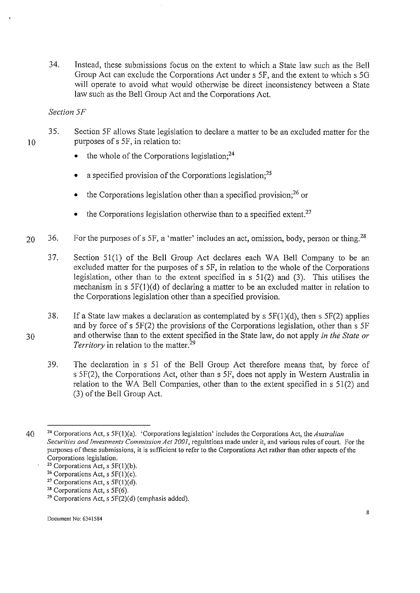34. Instead, these submissions focus on the extent to which a State law such as the Bell Group Act can exclude the Corporations Act under s *SF,* and the extent to which s 50 will operate to avoid what would otherwise be direct inconsistency between a State law such as the Bell Group Act and the Corporations Act.

*Section 5F* 

- 35. Section *SF* allows State legislation to declare a matter to be an excluded matter for the purposes of s *SF,* in relation to:
	- $\bullet$  the whole of the Corporations legislation:<sup>24</sup>
	- a specified provision of the Corporations legislation;<sup>25</sup>
	- the Corporations legislation other than a specified provision; $^{26}$  or
	- the Corporations legislation otherwise than to a specified extent.<sup>27</sup>
- 20 36. For the purposes of s 5F, a 'matter' includes an act, omission, body, person or thing.<sup>28</sup>
	- 37. Section 51(1) of the Bell Group Act declares each WA Bell Company to be an excluded matter for the purposes of s *SF,* in relation to the whole of the Corporations legislation, other than to the extent specified in  $s$  51(2) and (3). This utilises the mechanism in s 5F(l )(d) of declaring a matter to be an excluded matter in relation to the Corporations legislation other than a specified provision.
- 30 38. If a State law makes a declaration as contemplated by  $s$  5F(1)(d), then s 5F(2) applies and by force of s 5F(2) the provisions of the Corporations legislation, other than s *SF*  and otherwise than to the extent specified in the State law, do not apply *in the State or Territory* in relation to the matter.<sup>29</sup>
	- 39. The declaration in s 51 of the Bell Group Act therefore means that, by force of s 5F(2), the Corporations Act, other than s *SF,* does not apply in Western Australia in relation to the WA Bell Companies, other than to the extent specified in s 51(2) and (3) of the Bell Group Act.

<sup>40 24</sup> Corporations Act, s SF(l)(a). 'Corporations legislation' includes the Corporations Act, the *Australian Securities and Investments Commission Act 2001,* **regulations made under it, and various rules of court. For the**  purposes of these submissions, it is sufficient to refer to the Corporations Act rather than other aspects of the Corporations legislation.

<sup>&</sup>lt;sup>25</sup> Corporations Act, s 5F(1)(b).<br><sup>26</sup> Corporations Act, s 5F(1)(c).<br><sup>27</sup> Corporations Act, s 5F(1)(d).<br><sup>28</sup> Corporations Act, s 5F(6).

<sup>&</sup>lt;sup>29</sup> Corporations Act, s  $5F(2)(d)$  (emphasis added).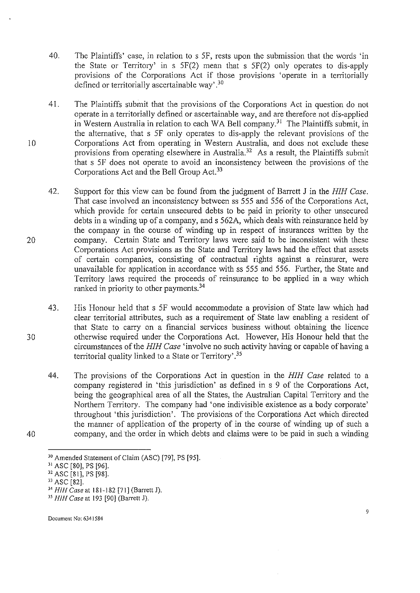- 40. The Plaintiffs' case, in relation to s *SF,* rests upon the submission that the words 'in the State or Territory' in s SF(2) mean that s SF(2) only operates to dis-apply provisions of the Corporations Act if those provisions 'operate in a territorially defined or territorially ascertainable way'. 30
- 41. The Plaintiffs submit that the provisions of the Corporations Act in question do not operate in a territorially defined or ascertainable way, and are therefore not dis-applied in Western Australia in relation to each WA Bell company.<sup>31</sup> The Plaintiffs submit, in the alternative, that s *SF* only operates to dis-apply the relevant provisions of the Corporations Act from operating in Western Australia, and does not exclude these provisions from operating elsewhere in Australia.<sup>32</sup> As a result, the Plaintiffs submit that s *SF* does not operate to avoid an inconsistency between the provisions of the Corporations Act and the Bell Group Act.<sup>33</sup>
- 42. Support for this view can be found from the judgment of Barrett J in the *HIH Case.*  That case involved an inconsistency between ss *SSS* and *SS6* of the Corporations Act, which provide for certain unsecured debts to be paid in priority to other unsecured debts in a winding up of a company, and s S62A, which deals with reinsurance held by the company in the course of winding up in respect of insurances written by the company. Certain State and Territory laws were said to be inconsistent with these Corporations Act provisions as the State and Territory laws had the effect that assets of certain companies, consisting of contractual rights against a reinsurer, were unavailable for application in accordance with ss *SSS* and *SS6.* Further, the State and Territory laws required the proceeds of reinsurance to be applied in a way which ranked in priority to other payments.<sup>34</sup>
- 43. His Honour held that s *SF* would accommodate a provision of State law which had clear territorial attributes, such as a requirement of State law enabling a resident of that State to carry on a financial services business without obtaining the licence otherwise required under the Corporations Act. However, His Honour held that the circumstances of the *HIH Case* 'involve no such activity having or capable of having a territorial quality linked to a State or Territory'.<sup>35</sup>
	- 44. The provisions of the Corporations Act in question in the *HIH Case* related to a company registered in 'this jurisdiction' as defined in s 9 of the Corporations Act, being the geographical area of all the States, the Australian Capital Territory and the Northern Territory. The company had 'one indivisible existence as a body corporate' throughout 'this jurisdiction'. The provisions of the Corporations Act which directed the manner of application of the property of in the course of winding up of such a company, and the order in which debts and claims were to be paid in such a winding

10

20

30

<sup>&</sup>lt;sup>30</sup> Amended Statement of Claim (ASC) [79], PS [95].<br><sup>31</sup> ASC [80], PS [96].<br><sup>32</sup> ASC [81], PS [98].<br><sup>33</sup> ASC [82].<br><sup>34</sup> HIH Case at 181-182 [71] (Barrett J).

<sup>34</sup>*HIHCaseat* 181-182 (71] (BarrettJ). 35 *HIH Case* at 193 (90] (Barrel! J).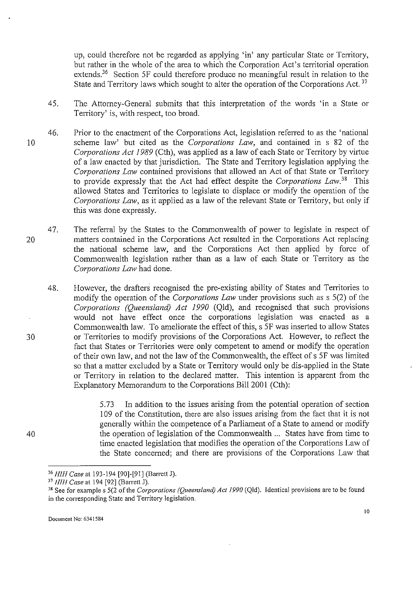up, could therefore not be regarded as applying 'in' any particular State or Territory, but rather in the whole of the area to which the Corporation Act's territorial operation extends.<sup>36</sup> Section 5F could therefore produce no meaningful result in relation to the State and Territory laws which sought to alter the operation of the Corporations Act.<sup>37</sup>

- 45. The Attorney-General submits that this interpretation of the words 'in a State or Territory' is, with respect, too broad.
- 10 46. Prior to the enactment of the Corporations Act, legislation referred to as the 'national scheme law' but cited as the *Corporations Law,* and contained in s 82 of the *Corporations Act 1989* (Cth), was applied as a law of each State or Territory by virtue of a law enacted by that jurisdiction. The State and Territory legislation applying the *Corporations Law* contained provisions that allowed an Act of that State or Territory to provide expressly that the Act had effect despite the *Corporations Law.38* This allowed States and Territories to legislate to displace or modify the operation of the *Corporations Law,* as it applied as a law of the relevant State or Territory, but only if this was done expressly.
- 20 47. The referral by the States to the Commonwealth of power to legislate in respect of matters contained in the Corporations Act resulted in the Corporations Act replacing the national scheme law, and the Corporations Act then applied by force of Commonwealth legislation rather than as a law of each State or Territory as the *Corporations Law* had done.
	- 48. However, the drafters recognised the pre-existing ability of States and Territories to modify the operation of the *Corporations Law* under provisions such as s 5(2) of the *Corporations (Queensland) Act 1990* (Qld), and recognised that such provisions would not have effect once the corporations legislation was enacted as a Commonwealth law. To ameliorate the effect of this, s 5F was inserted to allow States or Territories to modify provisions of the Corporations Act. However, to reflect the fact that States or Territories were only competent to amend or modify the operation of their own law, and not the law of the Commonwealth, the effect of s 5F was limited so that a matter excluded by a State or Territory would only be dis-applied in the State or Territory in relation to the declared matter. This intention is apparent from the Explanatory Memorandum to the Corporations Bill 2001 (Cth):

5.73 In addition to the issues arising from the potential operation of section I 09 of the Constitution, there are also issues arising from the fact that it is not generally within the competence of a Parliament of a State to amend or modify the operation of legislation of the Commonwealth ... States have from time to time enacted legislation that modifies the operation of the Corporations Law of the State concerned; and there are provisions of the Corporations Law that

40

<sup>36</sup> *HIH Case* at 193-194 [90]-[91] (Barrett J).

<sup>37</sup> *HIH Case* at 194 [92] (Barrett J).

<sup>&</sup>lt;sup>38</sup> See for example s 5(2 of the *Corporations (Queensland) Act 1990* (Qld). Identical provisions are to be found in the corresponding State and Territory legislation.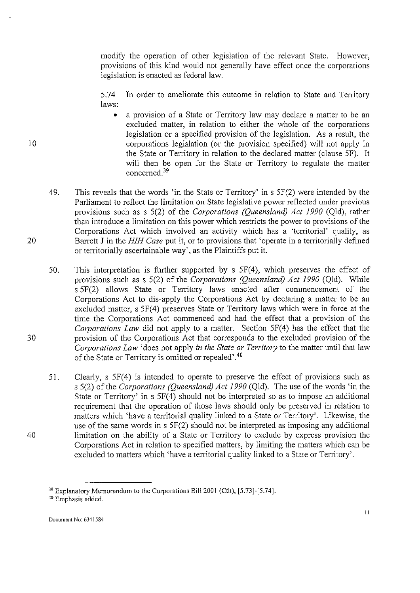modify the operation of other legislation of the relevant State. However, provisions of this kind would not generally have effect once the corporations legislation is enacted as federal law.

5.74 In order to ameliorate this outcome in relation to State and Territory laws:

- a provision of a State or Territory law may declare a matter to be an excluded matter, in relation to either the whole of the corporations legislation or a specified provision of the legislation. As a result, the corporations legislation (or the provision specified) will not apply in the State or Territory in relation to the declared matter (clause SF). It will then be open for the State or Territory to regulate the matter concerned.<sup>39</sup>
- 49. This reveals that the words 'in the State or Territory' in s 5F(2) were intended by the Parliament to reflect the limitation on State legislative power reflected under previous provisions such as s 5(2) of the *Corporations (Queensland) Act 1990* (Qld), rather than introduce a limitation on this power which restricts the power to provisions of the Corporations Act which involved an activity which has a 'territorial' quality, as Barrett J in the *HIH Case* put it, or to provisions that 'operate in a territorially defined or territorially ascertainable way', as the Plaintiffs put it.

50. This interpretation is further supported by  $s$   $5F(4)$ , which preserves the effect of provisions such as s 5(2) of the *Corporations (Queensland) Act 1990* (Qld). While s 5F(2) allows State or Territory laws enacted after commencement of the Corporations Act to dis-apply the Corporations Act by declaring a matter to be an excluded matter, s 5F(4) preserves State or Territory laws which were in force at the time the Corporations Act commenced and had the effect that a provision of the *Corporations Law* did not apply to a matter. Section 5F(4) has the effect that the provision of the Corporations Act that corresponds to the excluded provision of the *Corporations Law* 'does not apply *in the State or Territory* to the matter until that law of the State or Territory is omitted or repealed'.<sup>40</sup>

51. Clearly, s 5F(4) is intended to operate to preserve the effect of provisions such as s 5(2) of the *Corporations (Queensland) Act 1990* (Qld). The use of the words 'in the State or Territory' in  $s$  5F(4) should not be interpreted so as to impose an additional requirement that the operation of those laws should only be preserved in relation to matters which 'have a territorial quality linked to a State or Territory'. Likewise, the use of the same words in s 5F(2) should not be interpreted as imposing any additional limitation on the ability of a State or Territory to exclude by express provision the Corporations Act in relation to specified matters, by limiting the matters which can be excluded to matters which 'have a territorial quality linked to a State or Territory'.

10

20

30

<sup>&</sup>lt;sup>39</sup> Explanatory Memorandum to the Corporations Bill 2001 (Cth), [5.73]-[5.74].<br><sup>40</sup> Emphasis added.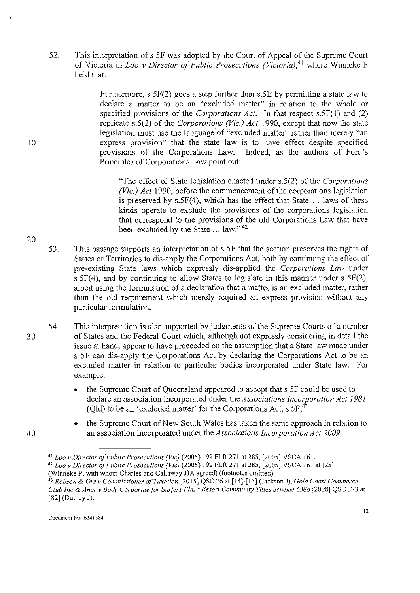52. This interpretation of s 5F was adopted by the Court of Appeal of the Supreme Court of Victoria in *Loo v Director of Public Prosecutions (Victoria)*,<sup>41</sup> where Winneke P held that:

> Furthermore, s 5F(2) goes a step further than s.5E by permitting a state law to declare a matter to be an "excluded matter" in relation to the whole or specified provisions of the *Corporations Act.* In that respect s.SF(l) and (2) replicate s.5(2) of the *Corporations (Vie.) Act* 1990, except that now the state legislation must use the language of "excluded matter" rather than merely "an express provision" that the state law is to have effect despite specified provisions of the Corporations Law. Indeed, as the authors of Ford's Principles of Corporations Law point out:

"The effect of State legislation enacted under s.5(2) of the *Corporations (Vie.) Act* 1990, before the commencement of the corporations legislation is preserved by s.5F(4), which has the effect that State ... laws of these kinds operate to exclude the provisions of the corporations legislation that correspond to the provisions of the old Corporations Law that have been excluded by the State ... law." 42

- 53. This passage supports an interpretation of s *SF* that the section preserves the rights of States or Territories to dis-apply the Corporations Act, both by continuing the effect of pre-existing State laws which expressly dis-applied the *Corporations Law* under s 5F(4), and by continuing to allow States to legislate in this manner under s 5F(2), albeit using the formulation of a declaration that a matter is an excluded matter, rather than the old requirement which merely required an express provision without any particular formulation.
- 54. This interpretation is also supported by judgments of the Supreme Courts of a number of States and the Federal Court which, although not expressly considering in detail the issue at hand, appear to have proceeded on the assumption that a State law made under s *SF* can dis-apply the Corporations Act by declaring the Corporations Act to be an excluded matter in relation to particular bodies incorporated under State law. For example:
	- the Supreme Court of Queensland appeared to accept that s *SF* could be used to declare an association incorporated under the *Associations Incorporation Act 1981*  (Qld) to be an 'excluded matter' for the Corporations Act, s  $5F<sub>1</sub><sup>43</sup>$
	- the Supreme Court of New South Wales has taken the same approach in relation to an association incorporated under the *Associations Incorporation Act 2009*

20

10

30

<sup>&</sup>lt;sup>41</sup> *Loo v Director of Public Prosecutions (Vic)* (2005) 192 FLR 271 at 285, [2005] VSCA 161.<br><sup>42</sup> *Loo v Director of Public Prosecutions (Vic)* (2005) 192 FLR 271 at 285, [2005] VSCA 161 at [25]<br>(Winneke P, with whom Cha

<sup>&</sup>lt;sup>43</sup> *Robson & Ors v Commissioner of Taxation* [2015] QSC 76 at [14]-[15] (Jackson J), *Gold Coast Commerce Club !ne* & *A nor v Body Corporate for Surfers Plaza Resort Community Titles Scheme 6388* [2008] QSC 323 at [82] (Dutney J).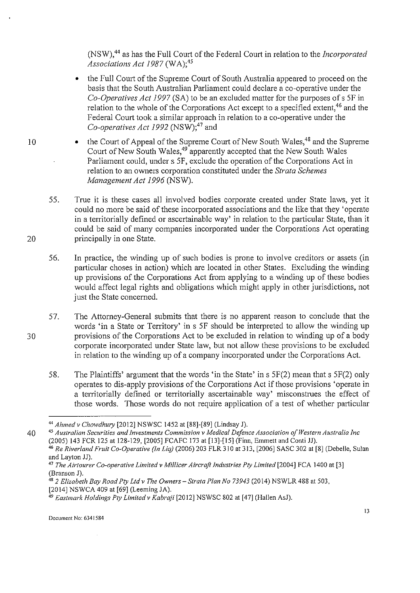(NSW),44 as has the Full Court of the Federal Court in relation to the *Incorporated*  Associations Act 1987 (WA):<sup>45</sup>

- the Full Court of the Supreme Court of South Australia appeared to proceed on the basis that the South Australian Parliament could declare a co-operative under the *Co-Operatives Act 1997* (SA) to be an excluded matter for the purposes of s *SF* in relation to the whole of the Corporations Act except to a specified extent,<sup>46</sup> and the Federal Court took a similar approach in relation to a co-operative under the *Co-operatives Act 1992* (NSW);47 and
- the Court of Appeal of the Supreme Court of New South Wales,<sup>48</sup> and the Supreme Court of New South Wales,49 apparently accepted that the New South Wales Parliament could, under s SF, exclude the operation of the Corporations Act in relation to an owners corporation constituted under the *Strata Schemes Management Act 1996* (NSW).
- 55. True it is these cases all involved bodies corporate created under State laws, yet it could no more be said of these incorporated associations and the like that they 'operate in a territorially defined or ascertainable way' in relation to the particular State, than it could be said of many companies incorporated under the Corporations Act operating principally in one State.
- 56. In practice, the winding up of such bodies is prone to involve creditors or assets (in particular chases in action) which are located in other States. Excluding the winding up provisions of the Corporations Act from applying to a winding up of these bodies would affect legal rights and obligations which might apply in other jurisdictions, not just the State concerned.
- 57. The Attorney-General submits that there is no apparent reason to conclude that the words 'in a State or Territory' in s SF should be interpreted to allow the winding up provisions of the Corporations Act to be excluded in relation to winding up of a body corporate incorporated under State law, but not allow these provisions to be excluded in relation to the winding up of a company incorporated under the Corporations Act.
	- 58. The Plaintiffs' argument that the words 'in the State' ins 5F(2) mean that s 5F(2) only operates to dis-apply provisions of the Corporations Act if those provisions 'operate in a territorially defined or territorially ascertainable way' misconstrues the effect of those words. Those words do not require application of a test of whether particular

20

<sup>44</sup>*Ahmedv Chowdhury* [2012] NSWSC 1452 at [88]-[89] (Lindsay J).

<sup>40 &</sup>lt;sup>45</sup> *Australian Securities and Investments Commission v Medical Defence Association of Western Australia Inc* (2005) 143 FCR 125 at 128-129, [2005] FCAFC 173 at [13]-[15] (Finn, Emmett and Conti JJ).

<sup>&</sup>lt;sup>46</sup> Re Riverland Fruit Co-Operative (In Liq) (2006) 203 FLR 310 at 313, [2006] SASC 302 at [8] (Debelle, Sulan and Layton JJ).<br><sup>47</sup> *The Airtourer Co-operative Limited v Millicer Aircraft Industries Pty Limited* [2004] FCA 1400 at [3]

<sup>(</sup>Branson J).<br><sup>48</sup> *2 Elizabeth Bay Road Pty Ltd v The Owners – Strata Plan No 73943* (2014) NSWLR 488 at 503,<br>[2014] NSWCA 409 at [69] (Leeming JA).

<sup>&</sup>lt;sup>49</sup> Eastmark Holdings Pty Limited v Kabraji [2012] NSWSC 802 at [47] (Hallen AsJ).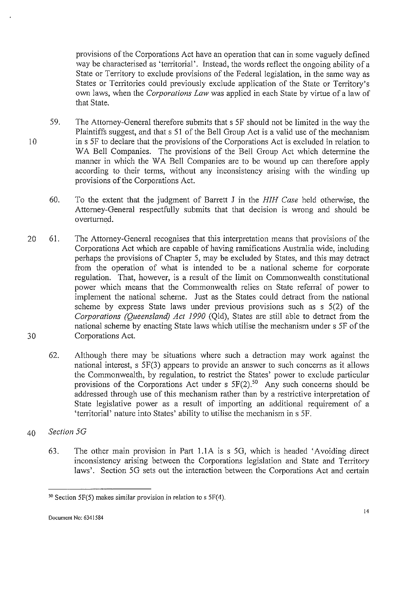provisions of the Corporations Act have an operation that can in some vaguely defined way be characterised as 'territorial'. Instead, the words reflect the ongoing ability of a State or Territory to exclude provisions of the Federal legislation, in the same way as States or Territories could previously exclude application of the State or Territory's own laws, when the *Corporations Law* was applied in each State by virtue of a law of that State.

- 10 59. The Attorney-General therefore submits that s 5F should not be limited in the way the Plaintiffs suggest, and that s 51 of the Bell Group Act is a valid use of the mechanism in s 5F to declare that the provisions of the Corporations Act is excluded in relation to WA Bell Companies. The provisions of the Bell Group Act which determine the manner in which the WA Bell Companies are to be wound up can therefore apply according to their terms, without any inconsistency arising with the winding up provisions of the Corporations Act.
	- 60. To the extent that the judgment of Barrett J in the *HIH Case* held otherwise, the Attorney-General respectfully submits that that decision is wrong and should be overturned.
- 20 30 61. The Attorney-General recognises that this interpretation means that provisions of the Corporations Act which are capable of having ramifications Australia wide, including perhaps the provisions of Chapter 5, may be excluded by States, and this may detract from the operation of what is intended to be a national scheme for corporate regulation. That, however, is a result of the limit on Commonwealth constitutional power which means that the Commonwealth relies on State referral of power to implement the national scheme. Just as the States could detract from the national scheme by express State laws under previous provisions such as s 5(2) of the *Corporations (Queensland) Act 1990* (Qld), States are still able to detract from the national scheme by enacting State laws which utilise the mechanism under s 5F of the Corporations Act.
	- 62. Although there may be situations where such a detraction may work against the national interest, s 5F(3) appears to provide an answer to such concerns as it allows the Commonwealth, by regulation, to restrict the States' power to exclude particular provisions of the Corporations Act under s  $5F(2)$ .<sup>50</sup> Any such concerns should be addressed through use of this mechanism rather than by a restrictive interpretation of State legislative power as a result of importing an additional requirement of a 'territorial' nature into States' ability to utilise the mechanism ins 5F.
- 40 *Section 5G* 
	- 63. The other main provision in Part l.IA is s 50, which is headed 'Avoiding direct inconsistency arising between the Corporations legislation and State and Territory laws'. Section 5G sets out the interaction between the Corporations Act and certain

 $50$  Section 5F(5) makes similar provision in relation to s 5F(4).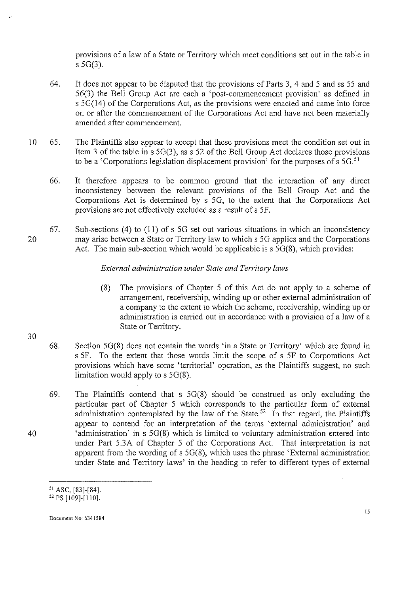provisions of a law of a State or Territory which meet conditions set out in the table in s 5G(3).

- 64. It does not appear to be disputed that the provisions of Parts 3, 4 and 5 and ss 55 and 56(3) the Bell Group Act are each a 'post-commencement provision' as defined in s 5G(l4) of the Corporations Act, as the provisions were enacted and came into force on or after the commencement of the Corporations Act and have not been materially amended after commencement.
- 10 65. The Plaintiffs also appear to accept that these provisions meet the condition set out in Item 3 of the table in s 5G(3), as s 52 of the Bell Group Act declares those provisions to be a 'Corporations legislation displacement provision' for the purposes of s  $5G<sup>51</sup>$ 
	- 66. It therefore appears to be common ground that the interaction of any direct inconsistency between the relevant provisions of the Bell Group Act and the Corporations Act is determined by s *SG,* to the extent that the Corporations Act provisions are not effectively excluded as a result of s *SF.*
- 20 67. Sub-sections (4) to (!I) of s *SG* set out various situations in which an inconsistency may arise between a State or Territory law to which s *SG* applies and the Corporations Act. The main sub-section which would be applicable is  $5\overline{G(8)}$ , which provides:

# *External administration under State and Territory laws*

(8) The provisions of Chapter 5 of this Act do not apply to a scheme of arrangement, receivership, winding up or other external administration of a company to the extent to which the scheme, receivership, winding up or administration is carried out in accordance with a provision of a law of a State or Territory.

15

- 68. Section 5G(8) does not contain the words 'in a State or Territory' which are found in s *SF.* To the extent that those words limit the scope of s *SF* to Corporations Act provisions which have some 'territorial' operation, as the Plaintiffs suggest, no such limitation would apply to s 5G(8).
- 69. The Plaintiffs contend that s 5G(8) should be construed as only excluding the particular part of Chapter 5 which corresponds to the particular form of external administration contemplated by the law of the State.<sup>52</sup> In that regard, the Plaintiffs appear to contend for an interpretation of the terms 'external administration' and 'administration' in s 5G(8) which is limited to voluntary administration entered into under Part 5.3A of Chapter 5 of the Corporations Act. That interpretation is not apparent from the wording of s 5G(8), which uses the phrase 'External administration under State and Territory laws' in the heading to refer to different types of external

30

 $51$  ASC, [83]-[84].<br> $52$  PS [109]-[110].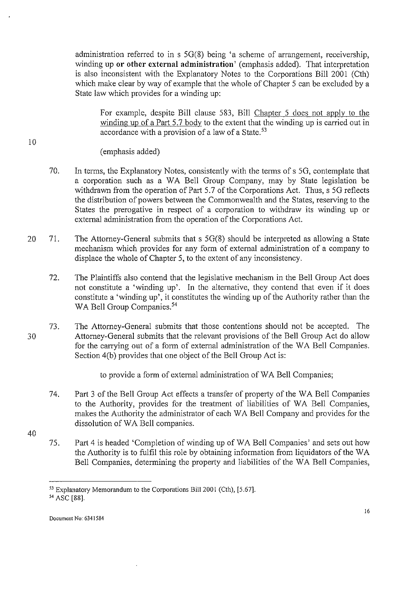administration referred to in s 5G(8) being 'a scheme of arrangement, receivership, winding up **or other external administration'** (emphasis added). That interpretation is also inconsistent with the Explanatory Notes to the Corporations Bill 2001 (Cth) which make clear by way of example that the whole of Chapter 5 can be excluded by a State law which provides for a winding up:

For example, despite Bill clause 583, Bill Chapter 5 does not apply to the winding up of a Part 5.7 body to the extent that the winding up is carried out in accordance with a provision of a law of a State. $53$ 

(emphasis added)

- 70. In terms, the Explanatory Notes, consistently with the terms of s 5G, contemplate that a corporation such as a WA Bell Group Company, may by State legislation be withdrawn from the operation of Part 5.7 of the Corporations Act. Thus, s 5G reflects the distribution of powers between the Commonwealth and the States, reserving to the States the prerogative in respect of a corporation to withdraw its winding up or external administration from the operation of the Corporations Act.
- 20 71. The Attorney-General submits that s 5G(8) should be interpreted as allowing a State mechanism which provides for any form of external administration of a company to displace the whole of Chapter 5, to the extent of any inconsistency.
	- 72. The Plaintiffs also contend that the legislative mechanism in the Bell Group Act does not constitute a 'winding up'. In the alternative, they contend that even if it does constitute a 'winding up', it constitutes the winding up of the Authority rather than the WA Bell Group Companies.<sup>54</sup>
- 30 73. The Attorney-General submits that those contentions should not be accepted. The Attorney-General submits that the relevant provisions of the Bell Group Act do allow for the carrying out of a form of external administration of the WA Bell Companies. Section 4(b) provides that one object of the Bell Group Act is:

to provide a form of external administration of WA Bell Companies;

74. Part 3 of the Bell Group Act effects a transfer of property of the WA Bell Companies to the Authority, provides for the treatment of liabilities of WA Bell Companies, makes the Authority the administrator of each WA Bell Company and provides for the dissolution of WA Bell companies.

40

10

75. Part 4 is headed 'Completion of winding up ofWA Bell Companies' and sets out how the Authority is to fulfil this role by obtaining information from liquidators of the WA Bell Companies, determining the property and liabilities of the WA Bell Companies,

<sup>&</sup>lt;sup>53</sup> Explanatory Memorandum to the Corporations Bill 2001 (Cth), [5.67]. 54 ASC [88].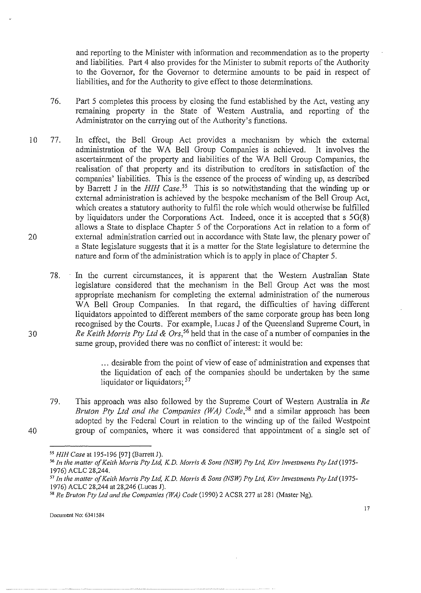and reporting to the Minister with information and recommendation as to the property and liabilities. Part 4 also provides for the Minister to submit reports of the Authority to the Governor, for the Governor to determine amounts to be paid in respect of liabilities, and for the Authority to give effect to those determinations.

- 76. Part 5 completes this process by closing the fund established by the Act, vesting any remaining property in the State of Western Australia, and reporting of the Administrator on the carrying out of the Authority's functions.
- 10 77. In effect, the Bell Group Act provides a mechanism by which the external administration of the WA Bell Group Companies is achieved. It involves the ascertainment of the property and liabilities of the W A Bell Group Companies, the realisation of that property and its distribution to creditors in satisfaction of the companies' liabilities. This is the essence of the process of winding up, as described by Barrett J in the *HIH Case*.<sup>55</sup> This is so notwithstanding that the winding up or external administration is achieved by the bespoke mechanism of the Bell Group Act, which creates a statutory authority to fulfil the role which would otherwise be fulfilled by liquidators under the Corporations Act. Indeed, once it is accepted that s 5G(8) allows a State to displace Chapter 5 of the Corporations Act in relation to a form of external administration carried out in accordance with State law, the plenary power of a State legislature suggests that it is a matter for the State legislature to determine the nature and form of the administration which is to apply in place of Chapter 5. 20

78. In the current circumstances, it is apparent that the Western Australian State legislature considered that the mechanism in the Bell Group Act was the most appropriate mechanism for completing the external administration of the numerous WA Bell Group Companies. In that regard, the difficulties of having different liquidators appointed to different members of the same corporate group has been long recognised by the Courts. For example, Lucas J of the Queensland Supreme Court, in *Re Keith Morris Pty Ltd* & *Ors,* 56 held that in the case of a number of companies in the same group, provided there was no conflict of interest: it would be:

> ... desirable from the point of view of ease of administration and expenses that the liquidation of each of the companies should be undertaken by the same liquidator or liquidators; <sup>57</sup>

79. This approach was also followed by the Supreme Court of Western Australia in *Re Bruton Pty Ltd and the Companies (WA) Code*,<sup>58</sup> and a similar approach has been adopted by the Federal Court in relation to the winding up of the failed Westpoint group of companies, where it was considered that appointment of a single set of

30

*<sup>55</sup> H!H Case* at 195-196 [97] (Barrett J).

<sup>56</sup>*In the matter of Keith Morris Pty Ltd, K.D. Morris* & *Sons (NSW) Pty Ltd, Kirr Investments Pty Ltd* (1975- 1976) ACLC 28,244.<br><sup>57</sup> In the matter of Keith Morris Pty Ltd, K.D. Morris & Sons (NSW) Pty Ltd, Kirr Investments Pty Ltd (1975-

<sup>1976)</sup> ACLC 28,244 at 28,246 (Lucas J).<br><sup>58</sup> Re Bruton Pty Ltd and the Companies (WA) Code (1990) 2 ACSR 277 at 281 (Master Ng).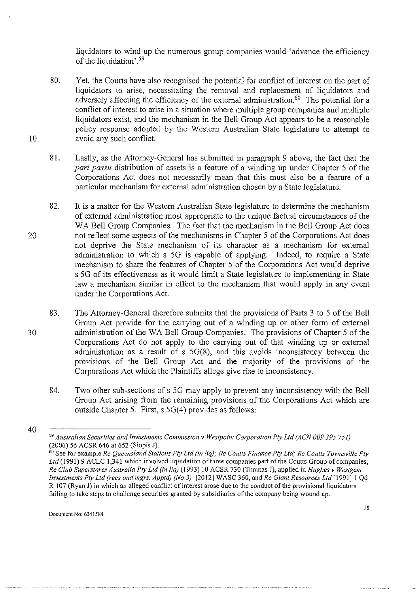liquidators to wind up the numerous group companies would 'advance the efficiency of the liquidation'.<sup>59</sup>

- 80. Yet, the Courts have also recognised the potential for conflict of interest on the part of liquidators to arise, necessitating the removal and replacement of liquidators and adversely affecting the efficiency of the external administration.<sup>60</sup> The potential for a conflict of interest to arise in a situation where multiple group companies and multiple liquidators exist, and the mechanism in the Bell Group Act appears to be a reasonable policy response adopted by the Western Australian State legislature to attempt to avoid any such conflict.
- 81. Lastly, as the Attorney-General has submitted in paragraph 9 above, the fact that the *pari passu* distribution of assets is a feature of a winding up under Chapter 5 of the Corporations Act does not necessarily mean that this must also be a feature of a particular mechanism for external administration chosen by a State legislature.
- 82. It is a matter for the Western Australian State legislature to determine the mechanism of external administration most appropriate to the unique factual circumstances of the WA Bell Group Companies. The fact that the mechanism in the Bell Group Act does not reflect some aspects of the mechanisms in Chapter 5 of the Corporations Act does not deprive the State mechanism of its character as a mechanism for external administration to which s 5G is capable of applying. Indeed, to require a State mechanism to share the features of Chapter 5 of the Corporations Act would deprive s 5G of its effectiveness as it would limit a State legislature to implementing in State law a mechanism similar in effect to the mechanism that would apply in any event under the Corporations Act.
- 30 83. The Attorney-General therefore submits that the provisions of Parts 3 to 5 of the Bell Group Act provide for the carrying out of a winding up or other form of external administration of the WA Bell Group Companies. The provisions of Chapter 5 of the Corporations Act do not apply to the carrying out of that winding up or external administration as a result of s 5G(8), and this avoids inconsistency between the provisions of the Bell Group Act and the majority of the provisions of the Corporations Act which the Plaintiffs allege give rise to inconsistency.
	- 84. Two other sub-sections of s 5G may apply to prevent any inconsistency with the Bell Group Act arising from the remaining provisions of the Corporations Act which are outside Chapter 5. First, s 5G(4) provides as follows:

10

20

<sup>59</sup>*Australian Securities and Investments Commission v Westpoint Corporation Pty Ltd {ACN 009 395 751)* 

<sup>&</sup>lt;sup>60</sup> See for example *Re Queensland Stations Pty Ltd (in liq); Re Coutts Finance Pty Ltd; Re Coutts Townsville Pty* Ltd (1991) 9 ACLC 1,341 which involved liquidation of three companies part of the Coutts Group of companies, *Re Club Superstores Australia Pty Ltd (in liq)* (1993) 10 ACSR 730 (Thomas J), applied in *Hughes v Westgem Investments Pty Ltd (recs and mgrs. Apptd) (No 3)* [20 12] WASC 360, and *Re Giant Resources Ltd* [1991] I Qd R 107 (Ryan J) in which an alleged conflict of interest arose due to the conduct of the provisional liquidators failing to take steps to challenge securities granted by subsidiaries of the company being wound up.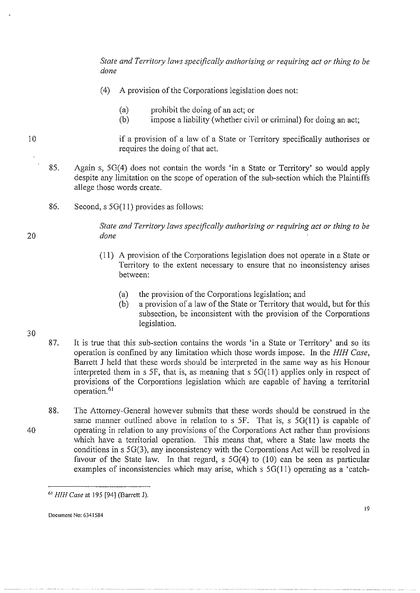*State and Territory laws specifically authorising or requiring act or thing to be done* 

- (4) A provision of the Corporations legislation does not:
	- (a) prohibit the doing of an act; or
	- (b) impose a liability (whether civil or criminal) for doing an act;
- 10 if a provision of a law of a State or Territory specifically authorises or requires the doing of that act.
	- 8S. Again s, SG(4) does not contain the words 'in a State or Territory' so would apply despite any limitation on the scope of operation of the sub-section which the Plaintiffs allege those words create.
		- 86. Second, s 5G(11) provides as follows:

*State and Territory laws specifically authorising or requiring act or thing to be done* 

- (11) A provision of the Corporations legislation does not operate in a State or Territory to the extent necessary to ensure that no inconsistency arises between:
	- (a) the provision of the Corporations legislation; and
	- (b) a provision of a law of the State or Territory that would, but for this subsection, be inconsistent with the provision of the Corporations legislation.
- 87. It is true that this sub-section contains the words 'in a State or Territory' and so its operation is confined by any limitation which those words impose. In the *HIH Case,*  Barrett J held that these words should be interpreted in the same way as his Honour interpreted them in s 5F, that is, as meaning that s  $5G(11)$  applies only in respect of provisions of the Corporations legislation which are capable of having a territorial operation.<sup>61</sup>
- 88. The Attorney-General however submits that these words should be construed in the same manner outlined above in relation to s  $SF$ . That is, s  $5G(11)$  is capable of operating in relation to any provisions of the Corporations Act rather than provisions which have a territorial operation. This means that, where a State law meets the conditions ins SG(3), any inconsistency with the Corporations Act will be resolved in favour of the State law. In that regard, s SG(4) to (10) can be seen as particular examples of inconsistencies which may arise, which s 5G(11) operating as a 'catch-

30

40

<sup>&</sup>lt;sup>61</sup> HIH Case at 195 [94] (Barrett J).